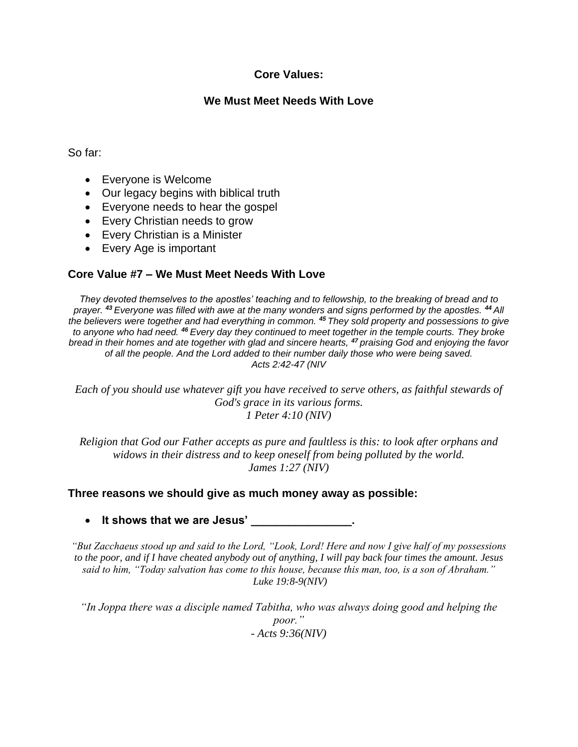# **Core Values:**

# **We Must Meet Needs With Love**

#### So far:

- Everyone is Welcome
- Our legacy begins with biblical truth
- Everyone needs to hear the gospel
- Every Christian needs to grow
- Every Christian is a Minister
- Every Age is important

# **Core Value #7 – We Must Meet Needs With Love**

*They devoted themselves to the apostles' teaching and to fellowship, to the breaking of bread and to prayer. <sup>43</sup> Everyone was filled with awe at the many wonders and signs performed by the apostles. <sup>44</sup> All the believers were together and had everything in common. <sup>45</sup> They sold property and possessions to give to anyone who had need. <sup>46</sup> Every day they continued to meet together in the temple courts. They broke bread in their homes and ate together with glad and sincere hearts, <sup>47</sup> praising God and enjoying the favor of all the people. And the Lord added to their number daily those who were being saved. Acts 2:42-47 (NIV*

*Each of you should use whatever gift you have received to serve others, as faithful stewards of God's grace in its various forms. 1 Peter 4:10 (NIV)*

*Religion that God our Father accepts as pure and faultless is this: to look after orphans and widows in their distress and to keep oneself from being polluted by the world. James 1:27 (NIV)*

### **Three reasons we should give as much money away as possible:**

• **It shows that we are Jesus' \_\_\_\_\_\_\_\_\_\_\_\_\_\_\_\_.**

*"But Zacchaeus stood up and said to the Lord, "Look, Lord! Here and now I give half of my possessions to the poor, and if I have cheated anybody out of anything, I will pay back four times the amount. Jesus said to him, "Today salvation has come to this house, because this man, too, is a son of Abraham." Luke 19:8-9(NIV)*

*"In Joppa there was a disciple named Tabitha, who was always doing good and helping the poor." - Acts 9:36(NIV)*